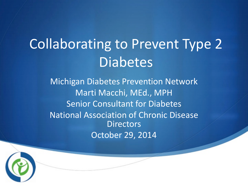## Collaborating to Prevent Type 2 **Diabetes**

Michigan Diabetes Prevention Network Marti Macchi, MEd., MPH Senior Consultant for Diabetes National Association of Chronic Disease **Directors** October 29, 2014

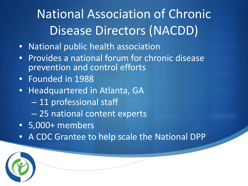### National Association of Chronic Disease Directors (NACDD)

- National public health association
- Provides a national forum for chronic disease prevention and control efforts
- Founded in 1988
- Headquartered in Atlanta, GA
	- 11 professional staff
	- 25 national content experts
- 5,000+ members
- A CDC Grantee to help scale the National DPP

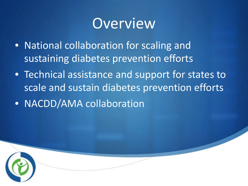### Overview

- National collaboration for scaling and sustaining diabetes prevention efforts
- Technical assistance and support for states to scale and sustain diabetes prevention efforts • NACDD/AMA collaboration

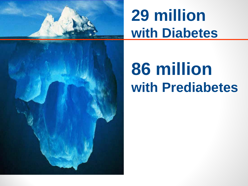

## **29 million with Diabetes**

# **86 million with Prediabetes**

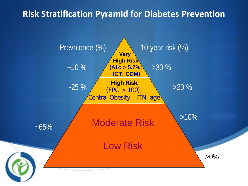#### **Risk Stratification Pyramid for Diabetes Prevention**

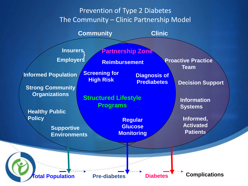#### Prevention of Type 2 Diabetes The Community – Clinic Partnership Model

**Community Clinic**

**Insurers** Employers

**Supportive** 

**Environments**

**Informed Population**

**Strong Community Organizations**

**Healthy Public** 

**Policy**

**Reimbursement** 

**Partnership Zone**

**Regular Glucose** 

**Monitoring**

**Screening for**

**Structured Lifestyle** 

**Programs**

**High Risk Diagnosis of Prediabetes**

**Team**

**Proactive Practice** 

**Decision Support**

**Information Systems**

**Informed, Activated Patients**

**Total Population Pre-diabetes Diabetes Complications**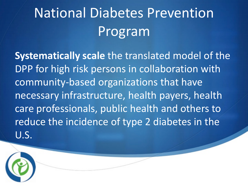## National Diabetes Prevention Program

**Systematically scale** the translated model of the DPP for high risk persons in collaboration with community-based organizations that have necessary infrastructure, health payers, health care professionals, public health and others to reduce the incidence of type 2 diabetes in the U.S.

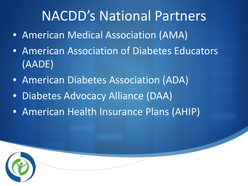### NACDD's National Partners

- American Medical Association (AMA)
- American Association of Diabetes Educators (AADE)
- American Diabetes Association (ADA)
- Diabetes Advocacy Alliance (DAA)
- American Health Insurance Plans (AHIP)

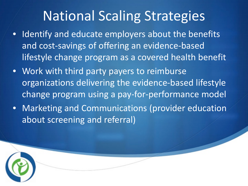### National Scaling Strategies

- Identify and educate employers about the benefits and cost-savings of offering an evidence-based lifestyle change program as a covered health benefit
- Work with third party payers to reimburse organizations delivering the evidence-based lifestyle change program using a pay-for-performance model
- Marketing and Communications (provider education about screening and referral)